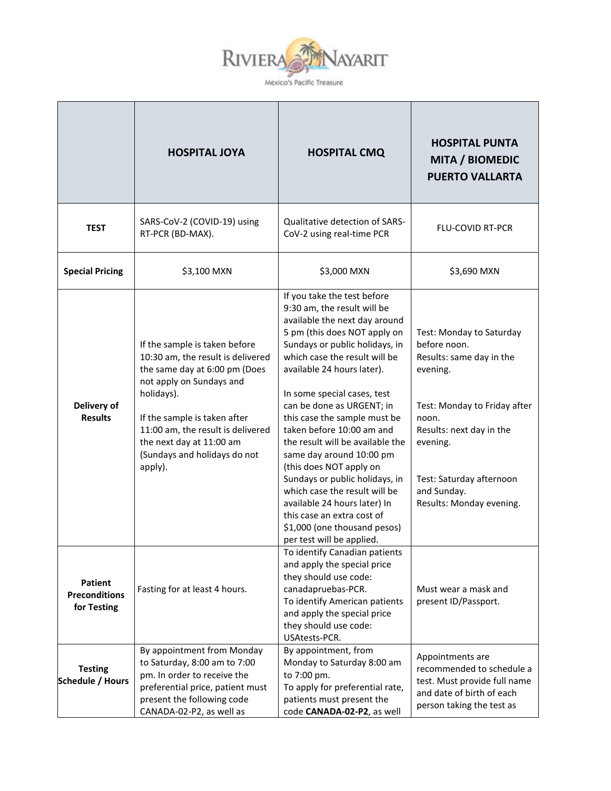

|                                                       | <b>HOSPITAL JOYA</b>                                                                                                                                                                                                                                                                      | <b>HOSPITAL CMQ</b>                                                                                                                                                                                                                                                                                                                                                                                                                                                                                                                                                                                                                            | <b>HOSPITAL PUNTA</b><br><b>MITA / BIOMEDIC</b><br><b>PUERTO VALLARTA</b>                                                                                                                                                                |
|-------------------------------------------------------|-------------------------------------------------------------------------------------------------------------------------------------------------------------------------------------------------------------------------------------------------------------------------------------------|------------------------------------------------------------------------------------------------------------------------------------------------------------------------------------------------------------------------------------------------------------------------------------------------------------------------------------------------------------------------------------------------------------------------------------------------------------------------------------------------------------------------------------------------------------------------------------------------------------------------------------------------|------------------------------------------------------------------------------------------------------------------------------------------------------------------------------------------------------------------------------------------|
| <b>TEST</b>                                           | SARS-CoV-2 (COVID-19) using<br>RT-PCR (BD-MAX).                                                                                                                                                                                                                                           | <b>Qualitative detection of SARS-</b><br>CoV-2 using real-time PCR                                                                                                                                                                                                                                                                                                                                                                                                                                                                                                                                                                             | <b>FLU-COVID RT-PCR</b>                                                                                                                                                                                                                  |
| <b>Special Pricing</b>                                | \$3,100 MXN                                                                                                                                                                                                                                                                               | \$3,000 MXN                                                                                                                                                                                                                                                                                                                                                                                                                                                                                                                                                                                                                                    | \$3,690 MXN                                                                                                                                                                                                                              |
| Delivery of<br><b>Results</b>                         | If the sample is taken before<br>10:30 am, the result is delivered<br>the same day at 6:00 pm (Does<br>not apply on Sundays and<br>holidays).<br>If the sample is taken after<br>11:00 am, the result is delivered<br>the next day at 11:00 am<br>(Sundays and holidays do not<br>apply). | If you take the test before<br>9:30 am, the result will be<br>available the next day around<br>5 pm (this does NOT apply on<br>Sundays or public holidays, in<br>which case the result will be<br>available 24 hours later).<br>In some special cases, test<br>can be done as URGENT; in<br>this case the sample must be<br>taken before 10:00 am and<br>the result will be available the<br>same day around 10:00 pm<br>(this does NOT apply on<br>Sundays or public holidays, in<br>which case the result will be<br>available 24 hours later) In<br>this case an extra cost of<br>\$1,000 (one thousand pesos)<br>per test will be applied. | Test: Monday to Saturday<br>before noon.<br>Results: same day in the<br>evening.<br>Test: Monday to Friday after<br>noon.<br>Results: next day in the<br>evening.<br>Test: Saturday afternoon<br>and Sunday.<br>Results: Monday evening. |
| <b>Patient</b><br><b>Preconditions</b><br>for Testing | Fasting for at least 4 hours.                                                                                                                                                                                                                                                             | To identify Canadian patients<br>and apply the special price<br>they should use code:<br>canadapruebas-PCR.<br>To identify American patients<br>and apply the special price<br>they should use code:<br>USAtests-PCR.                                                                                                                                                                                                                                                                                                                                                                                                                          | Must wear a mask and<br>present ID/Passport.                                                                                                                                                                                             |
| <b>Testing</b><br>Schedule / Hours                    | By appointment from Monday<br>to Saturday, 8:00 am to 7:00<br>pm. In order to receive the<br>preferential price, patient must<br>present the following code<br>CANADA-02-P2, as well as                                                                                                   | By appointment, from<br>Monday to Saturday 8:00 am<br>to 7:00 pm.<br>To apply for preferential rate,<br>patients must present the<br>code CANADA-02-P2, as well                                                                                                                                                                                                                                                                                                                                                                                                                                                                                | Appointments are<br>recommended to schedule a<br>test. Must provide full name<br>and date of birth of each<br>person taking the test as                                                                                                  |